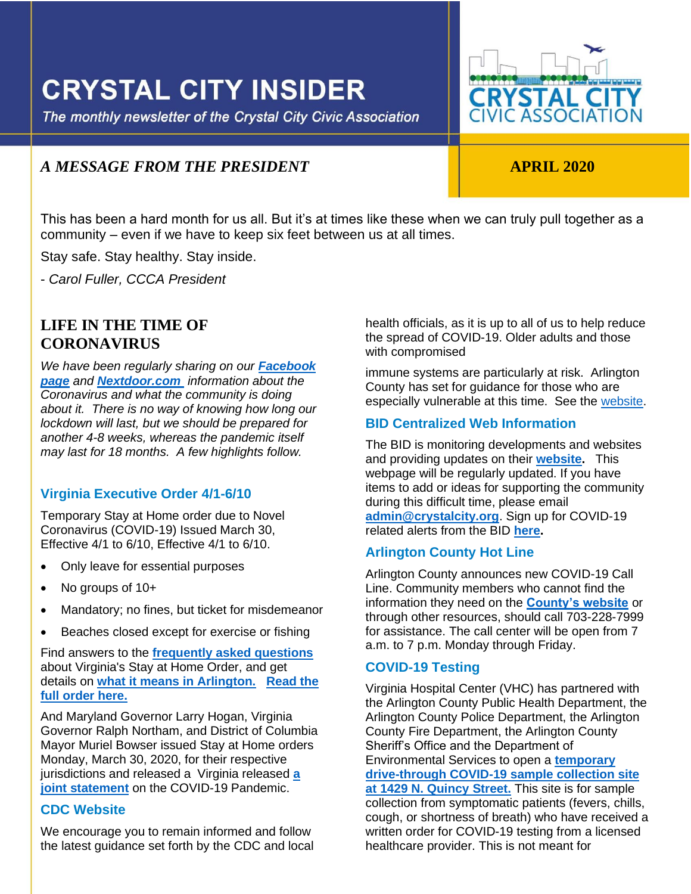# **CRYSTAL CITY INSIDER**

The monthly newsletter of the Crystal City Civic Association



# *A MESSAGE FROM THE PRESIDENT* **APRIL 2020**

This has been a hard month for us all. But it's at times like these when we can truly pull together as a community – even if we have to keep six feet between us at all times.

Stay safe. Stay healthy. Stay inside.

- *Carol Fuller, CCCA President*

# **LIFE IN THE TIME OF CORONAVIRUS**

*We have been regularly sharing on our [Facebook](https://www.facebook.com/crystalcitycivic/?ref=aymt_homepage_panel)  [page](https://www.facebook.com/crystalcitycivic/?ref=aymt_homepage_panel) and [Nextdoor.com](https://nextdoor.com/neighborhood_feed/) information about the Coronavirus and what the community is doing about it. There is no way of knowing how long our lockdown will last, but we should be prepared for another 4-8 weeks, whereas the pandemic itself may last for 18 months. A few highlights follow.* 

# **Virginia Executive Order 4/1-6/10**

Temporary Stay at Home order due to Novel Coronavirus (COVID-19) Issued March 30, Effective 4/1 to 6/10, Effective 4/1 to 6/10.

- Only leave for essential purposes
- No groups of 10+
- Mandatory; no fines, but ticket for misdemeanor
- Beaches closed except for exercise or fishing

Find answers to the **[frequently asked questions](https://lnks.gd/l/eyJhbGciOiJIUzI1NiJ9.eyJidWxsZXRpbl9saW5rX2lkIjoxMDMsInVyaSI6ImJwMjpjbGljayIsImJ1bGxldGluX2lkIjoiMjAyMDAzMzEuMTk1NjQ4NTEiLCJ1cmwiOiJodHRwczovL3d3dy52aXJnaW5pYS5nb3YvY29yb25hdmlydXMvZmFxLyJ9.ZisgQfN8xb-khBgrPo-RUXDoA4t1DAZAtKM1kUUUayk/br/76859230538-l)** about Virginia's Stay at Home Order, and get details on **[what it means in Arlington.](https://lnks.gd/l/eyJhbGciOiJIUzI1NiJ9.eyJidWxsZXRpbl9saW5rX2lkIjoxMDQsInVyaSI6ImJwMjpjbGljayIsImJ1bGxldGluX2lkIjoiMjAyMDAzMzEuMTk1NjQ4NTEiLCJ1cmwiOiJodHRwczovL25ld3Nyb29tLmFybGluZ3RvbnZhLnVzL3JlbGVhc2UvYXJsaW5ndG9uLXJlcXVpcmVzLWNvbXBsaWFuY2Utd2l0aC1nb3Zlcm5vcnMtc3RheS1hdC1ob21lLW9yZGVyLyJ9.iiGB-GI2x6Cup7_RBF294i2l66AGw5o1C1NayI6YY8w/br/76859230538-l) [Read the](https://www.governor.virginia.gov/media/governorvirginiagov/executive-actions/EO-55-Temporary-Stay-at-Home-Order-Due-to-Novel-Coronavirus-(COVID-19).pdf)  [full order here.](https://www.governor.virginia.gov/media/governorvirginiagov/executive-actions/EO-55-Temporary-Stay-at-Home-Order-Due-to-Novel-Coronavirus-(COVID-19).pdf)**

And Maryland Governor Larry Hogan, Virginia Governor Ralph Northam, and District of Columbia Mayor Muriel Bowser issued Stay at Home orders Monday, March 30, 2020, for their respective jurisdictions and released a Virginia released **[a](https://newsroom.arlingtonva.us/release/joint-statement-national-capital-region-covid-19-pandemic/)  [joint statement](https://newsroom.arlingtonva.us/release/joint-statement-national-capital-region-covid-19-pandemic/)** on the COVID-19 Pandemic.

#### **CDC Website**

We encourage you to remain informed and follow the latest guidance set forth by the CDC and local health officials, as it is up to all of us to help reduce the spread of COVID-19. Older adults and those with compromised

immune systems are particularly at risk. Arlington County has set for guidance for those who are especially vulnerable at this time. See the [website.](https://www.cdc.gov/coronavirus/2019-ncov/index.html)

# **BID Centralized Web Information**

ļ

The BID is monitoring developments and websites and providing updates on their **[website.](https://www.crystalcity.org/covid-19)** This webpage will be regularly updated. If you have items to add or ideas for supporting the community during this difficult time, please email **[admin@crystalcity.org](file:///C:/Users/cfull/Downloads/admin@crystalcity.org)**. Sign up for COVID-19 related alerts from the BID **[here.](https://www.crystalcity.org/subscribe)**

# **Arlington County Hot Line**

Arlington County announces new COVID-19 Call Line. Community members who cannot find the information they need on the **[County's website](https://nam03.safelinks.protection.outlook.com/?url=https%3A%2F%2Flnks.gd%2Fl%2FeyJhbGciOiJIUzI1NiJ9.eyJidWxsZXRpbl9saW5rX2lkIjoxMDAsInVyaSI6ImJwMjpjbGljayIsImJ1bGxldGluX2lkIjoiMjAyMDAzMTguMTg5NTg1NzEiLCJ1cmwiOiJodHRwczovL2hlYWx0aC5hcmxpbmd0b252YS51cy9jb3ZpZC0xOS1jb3JvbmF2aXJ1cy11cGRhdGVzLyJ9.xWMkU5Mro5Dy59Ew-3ypoAP9rw67Ff4rgnG3Co5qkQk%2Fbr%2F76315552537-l&data=02%7C01%7Cttucker%40arlingtonva.us%7Cd520ba11c6c14b1ba46608d7cc0edd6b%7C803548041fdf428e9f5f5091e994cf54%7C0%7C0%7C637202236530360393&sdata=dpBGblCBQudUejnw1K%2Fc5BYKtFWb1Wi58FIvd2s%2Bcjs%3D&reserved=0)** or through other resources, should call 703-228-7999 for assistance. The call center will be open from 7 a.m. to 7 p.m. Monday through Friday.

# **COVID-19 Testing**

Virginia Hospital Center (VHC) has partnered with the Arlington County Public Health Department, the Arlington County Police Department, the Arlington County Fire Department, the Arlington County Sheriff's Office and the Department of Environmental Services to open a **[temporary](https://www.virginiahospitalcenter.com/)  [drive-through COVID-19 sample collection site](https://www.virginiahospitalcenter.com/)  [at 1429 N. Quincy Street.](https://www.virginiahospitalcenter.com/)** This site is for sample collection from symptomatic patients (fevers, chills, cough, or shortness of breath) who have received a written order for COVID-19 testing from a licensed healthcare provider. This is not meant for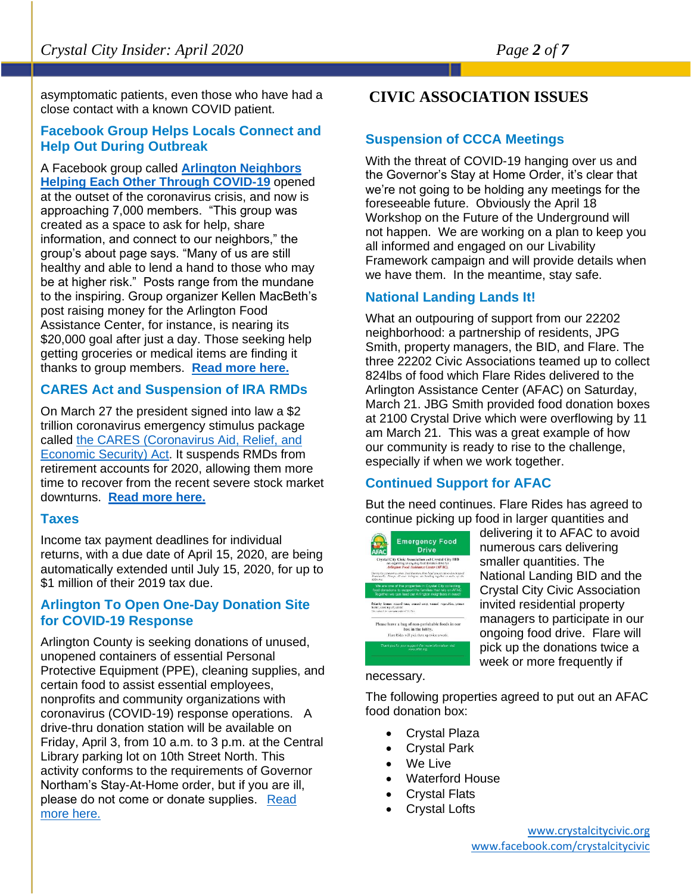asymptomatic patients, even those who have had a close contact with a known COVID patient.

#### **Facebook Group Helps Locals Connect and Help Out During Outbreak**

A Facebook group called **[Arlington Neighbors](https://www.facebook.com/groups/212126776694852/)  [Helping Each Other Through COVID-19](https://www.facebook.com/groups/212126776694852/)** opened at the outset of the coronavirus crisis, and now is approaching 7,000 members. "This group was created as a space to ask for help, share information, and connect to our neighbors," the group's about page says. "Many of us are still healthy and able to lend a hand to those who may be at higher risk." Posts range from the mundane to the inspiring. Group organizer Kellen MacBeth's post raising money for the Arlington Food Assistance Center, for instance, is nearing its \$20,000 goal after just a day. Those seeking help getting groceries or medical items are finding it thanks to group members. **[Read more here.](https://www.arlnow.com/2020/03/31/facebook-group-helps-locals-connect-and-help-out-during-outbreak/?mc_cid=3c2dcf2e52&mc_eid=e22d65c5c2)**

# **CARES Act and Suspension of IRA RMDs**

On March 27 the president signed into law a \$2 trillion coronavirus emergency stimulus package called [the CARES \(Coronavirus Aid, Relief, and](https://www.investopedia.com/what-s-in-the-usd2-trillion-coronavirus-stimulus-bill-4800882)  [Economic Security\) Act.](https://www.investopedia.com/what-s-in-the-usd2-trillion-coronavirus-stimulus-bill-4800882) It suspends RMDs from retirement accounts for 2020, allowing them more time to recover from the recent severe stock market downturns. **[Read more here.](https://www.npr.org/2020/03/26/821457551/whats-inside-the-senate-s-2-trillion-coronavirus-aid-package)**

#### **Taxes**

Income tax payment deadlines for individual returns, with a due date of April 15, 2020, are being automatically extended until July 15, 2020, for up to \$1 million of their 2019 tax due.

# **Arlington To Open One-Day Donation Site for COVID-19 Response**

Arlington County is seeking donations of unused, unopened containers of essential Personal Protective Equipment (PPE), cleaning supplies, and certain food to assist essential employees, nonprofits and community organizations with coronavirus (COVID-19) response operations. A drive-thru donation station will be available on Friday, April 3, from 10 a.m. to 3 p.m. at the Central Library parking lot on 10th Street North. This activity conforms to the requirements of Governor Northam's Stay-At-Home order, but if you are ill, please do not come or donate supplies.  [Read](https://newsroom.arlingtonva.us/release/arlington-to-open-donation-site-for-covid-19-response/)  [more here.](https://newsroom.arlingtonva.us/release/arlington-to-open-donation-site-for-covid-19-response/)

# **CIVIC ASSOCIATION ISSUES**

# **Suspension of CCCA Meetings**

With the threat of COVID-19 hanging over us and the Governor's Stay at Home Order, it's clear that we're not going to be holding any meetings for the foreseeable future. Obviously the April 18 Workshop on the Future of the Underground will not happen. We are working on a plan to keep you all informed and engaged on our Livability Framework campaign and will provide details when we have them. In the meantime, stay safe.

# **National Landing Lands It!**

What an outpouring of support from our 22202 neighborhood: a partnership of residents, JPG Smith, property managers, the BID, and Flare. The three 22202 Civic Associations teamed up to collect 824lbs of food which Flare Rides delivered to the Arlington Assistance Center (AFAC) on Saturday, March 21. JBG Smith provided food donation boxes at 2100 Crystal Drive which were overflowing by 11 am March 21. This was a great example of how our community is ready to rise to the challenge, especially if when we work together.

# **Continued Support for AFAC**

But the need continues. Flare Rides has agreed to continue picking up food in larger quantities and



delivering it to AFAC to avoid numerous cars delivering smaller quantities. The National Landing BID and the Crystal City Civic Association invited residential property managers to participate in our ongoing food drive. Flare will pick up the donations twice a week or more frequently if

# necessary.

The following properties agreed to put out an AFAC food donation box:

- Crystal Plaza
- Crystal Park
- We Live
- Waterford House
- Crystal Flats
- Crystal Lofts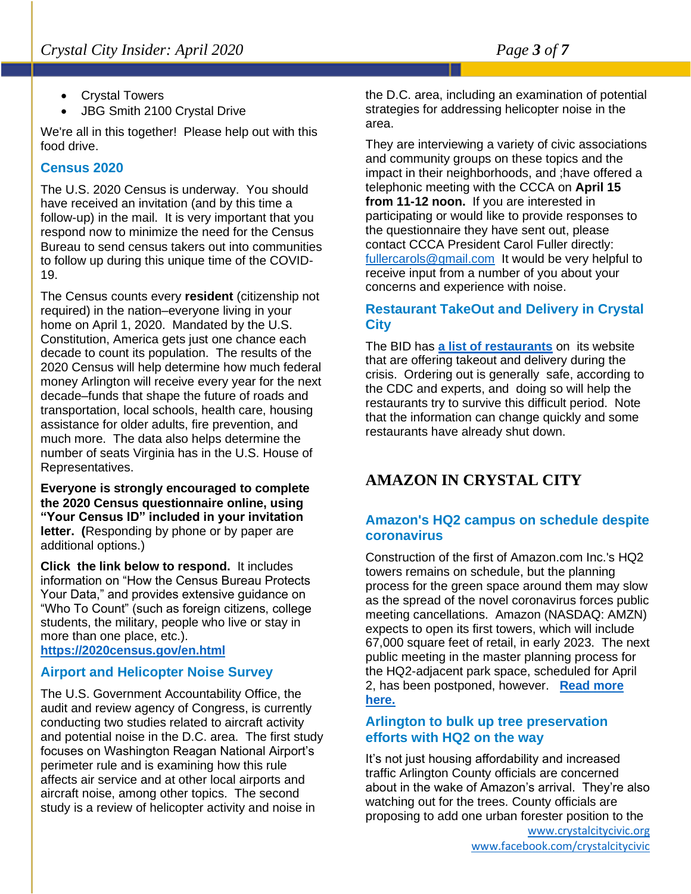- Crystal Towers
- JBG Smith 2100 Crystal Drive

We're all in this together! Please help out with this food drive.

# **Census 2020**

The U.S. 2020 Census is underway. You should have received an invitation (and by this time a follow-up) in the mail. It is very important that you respond now to minimize the need for the Census Bureau to send census takers out into communities to follow up during this unique time of the COVID-19.

The Census counts every **resident** (citizenship not required) in the nation–everyone living in your home on April 1, 2020. Mandated by the U.S. Constitution, America gets just one chance each decade to count its population. The results of the 2020 Census will help determine how much federal money Arlington will receive every year for the next decade–funds that shape the future of roads and transportation, local schools, health care, housing assistance for older adults, fire prevention, and much more. The data also helps determine the number of seats Virginia has in the U.S. House of Representatives.

**Everyone is strongly encouraged to complete the 2020 Census questionnaire online, using "Your Census ID" included in your invitation letter. (**Responding by phone or by paper are additional options.)

**Click the link below to respond.** It includes information on "How the Census Bureau Protects Your Data," and provides extensive guidance on "Who To Count" (such as foreign citizens, college students, the military, people who live or stay in more than one place, etc.).

**<https://2020census.gov/en.html>**

# **Airport and Helicopter Noise Survey**

The U.S. Government Accountability Office, the audit and review agency of Congress, is currently conducting two studies related to aircraft activity and potential noise in the D.C. area. The first study focuses on Washington Reagan National Airport's perimeter rule and is examining how this rule affects air service and at other local airports and aircraft noise, among other topics. The second study is a review of helicopter activity and noise in

the D.C. area, including an examination of potential strategies for addressing helicopter noise in the area.

They are interviewing a variety of civic associations and community groups on these topics and the impact in their neighborhoods, and ;have offered a telephonic meeting with the CCCA on **April 15 from 11-12 noon.** If you are interested in participating or would like to provide responses to the questionnaire they have sent out, please contact CCCA President Carol Fuller directly: [fullercarols@gmail.com](mailto:fullercarols@gmail.com) It would be very helpful to receive input from a number of you about your concerns and experience with noise.

# **Restaurant TakeOut and Delivery in Crystal City**

The BID has **[a list of restaurants](https://www.crystalcity.org/delivery)** on its website that are offering takeout and delivery during the crisis. Ordering out is generally safe, according to the CDC and experts, and doing so will help the restaurants try to survive this difficult period. Note that the information can change quickly and some restaurants have already shut down.

# **AMAZON IN CRYSTAL CITY**

# **Amazon's HQ2 campus on schedule despite coronavirus**

Construction of the first of Amazon.com Inc.'s HQ2 towers remains on schedule, but the planning process for the green space around them may slow as the spread of the novel coronavirus forces public meeting cancellations. Amazon (NASDAQ: AMZN) expects to open its first towers, which will include 67,000 square feet of retail, in early 2023. The next public meeting in the master planning process for the HQ2-adjacent park space, scheduled for April 2, has been postponed, however. **[Read more](https://www.bizjournals.com/washington/news/2020/03/25/amazons-hq2-on-schedule-despite-coronavirus.html?ana=e_ae_set1&j=90501575&t=Afternoon&mkt_tok=eyJpIjoiT0dNMFltRm1aVFE1WkRsaiIsInQiOiI2emErVTk1MXpFUm5iOCtHeFVDenNsa3dxOHhDRHV4elwvUDRSOUFUV1BYN215MHZXUHJYVDRYb0RoeTg1ajlRRzNmbStWZkxqaUhTUHR6VEVmQzZGcEJaRkk5NEtKM3lrRmw0RGVvZDVIMm8yY0JmS3d2QjRaSnpSUGRyQkIycjcifQ%3D%3D)  [here.](https://www.bizjournals.com/washington/news/2020/03/25/amazons-hq2-on-schedule-despite-coronavirus.html?ana=e_ae_set1&j=90501575&t=Afternoon&mkt_tok=eyJpIjoiT0dNMFltRm1aVFE1WkRsaiIsInQiOiI2emErVTk1MXpFUm5iOCtHeFVDenNsa3dxOHhDRHV4elwvUDRSOUFUV1BYN215MHZXUHJYVDRYb0RoeTg1ajlRRzNmbStWZkxqaUhTUHR6VEVmQzZGcEJaRkk5NEtKM3lrRmw0RGVvZDVIMm8yY0JmS3d2QjRaSnpSUGRyQkIycjcifQ%3D%3D)**

# **Arlington to bulk up tree preservation efforts with HQ2 on the way**

It's not just housing affordability and increased traffic Arlington County officials are concerned about in the wake of Amazon's arrival. They're also watching out for the trees. County officials are proposing to add one urban forester position to the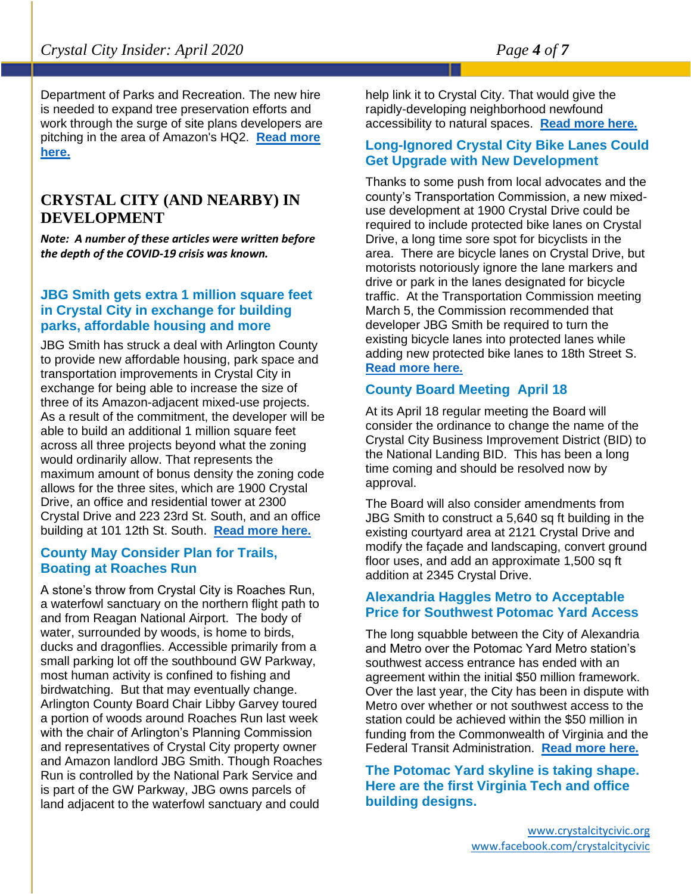Department of Parks and Recreation. The new hire is needed to expand tree preservation efforts and work through the surge of site plans developers are pitching in the area of Amazon's HQ2. **[Read more](https://www.bizjournals.com/washington/news/2020/03/11/arlington-to-bulk-up-tree-preservation-efforts.html?ana=e_me_set3&j=90499556&t=Morning&mkt_tok=eyJpIjoiTVRoalpEaGhaRGs1WTJWaiIsInQiOiJjTFZnK3ZJelNsdnU2b0ROZXBEOUhpRjEwVVllQm9KaDc5OVpzcXZUTXpJMHlpV1hKcitET2UzT3MwTG14TmpTUm1xdFZLektBcHQwUGJDNzZmNjBmWHBuN2xNTnNNZHlGSmdsMXFXanBsWDJWOHc0NVwvdllMVlREOXU5aVBPTFIifQ%3D%3D)  [here.](https://www.bizjournals.com/washington/news/2020/03/11/arlington-to-bulk-up-tree-preservation-efforts.html?ana=e_me_set3&j=90499556&t=Morning&mkt_tok=eyJpIjoiTVRoalpEaGhaRGs1WTJWaiIsInQiOiJjTFZnK3ZJelNsdnU2b0ROZXBEOUhpRjEwVVllQm9KaDc5OVpzcXZUTXpJMHlpV1hKcitET2UzT3MwTG14TmpTUm1xdFZLektBcHQwUGJDNzZmNjBmWHBuN2xNTnNNZHlGSmdsMXFXanBsWDJWOHc0NVwvdllMVlREOXU5aVBPTFIifQ%3D%3D)**

# **CRYSTAL CITY (AND NEARBY) IN DEVELOPMENT**

*Note: A number of these articles were written before the depth of the COVID-19 crisis was known.* 

# **JBG Smith gets extra 1 million square feet in Crystal City in exchange for building parks, affordable housing and more**

JBG Smith has struck a deal with Arlington County to provide new affordable housing, park space and transportation improvements in Crystal City in exchange for being able to increase the size of three of its Amazon-adjacent mixed-use projects. As a result of the commitment, the developer will be able to build an additional 1 million square feet across all three projects beyond what the zoning would ordinarily allow. That represents the maximum amount of bonus density the zoning code allows for the three sites, which are 1900 Crystal Drive, an office and residential tower at 2300 Crystal Drive and 223 23rd St. South, and an office building at 101 12th St. South. **[Read more here.](https://www.bizjournals.com/washington/news/2020/03/23/jbg-smith-gets-extra-1-million-square-feet-in.html?ana=e_ae_set3&j=90501280&t=Afternoon&mkt_tok=eyJpIjoiT1dOa1lUYzVaREptTW1FMSIsInQiOiJXOFNLa0FHTnN2Y0ZRMTR0WlpydzBIeXlPZTErQkhMOEFcL1BaUVlTeHZxNVNMQVBCQlJQYUR1akl2ZmJ0VHdFdmpja0VwVGRRc2d5T3lzVlV6U2pwbGI1SVdxZFpIdGV6VktoRnhiN0VhbXNLNXQ5bjZwSGdFZFdQd3JxQWVLYTgifQ%3D%3D)**

# **County May Consider Plan for Trails, Boating at Roaches Run**

A stone's throw from Crystal City is Roaches Run, a waterfowl sanctuary on the northern flight path to and from Reagan National Airport. The body of water, surrounded by woods, is home to birds, ducks and dragonflies. Accessible primarily from a small parking lot off the southbound GW Parkway, most human activity is confined to fishing and birdwatching. But that may eventually change. Arlington County Board Chair Libby Garvey toured a portion of woods around Roaches Run last week with the chair of Arlington's Planning Commission and representatives of Crystal City property owner and Amazon landlord JBG Smith. Though Roaches Run is controlled by the National Park Service and is part of the GW Parkway, JBG owns parcels of land adjacent to the waterfowl sanctuary and could

help link it to Crystal City. That would give the rapidly-developing neighborhood newfound accessibility to natural spaces. **[Read more here.](https://www.arlnow.com/2020/03/03/county-may-consider-plan-for-trails-boating-at-roaches-run/?mc_cid=13f85ed16f&mc_eid=e22d65c5c2)**

#### **Long-Ignored Crystal City Bike Lanes Could Get Upgrade with New Development**

Thanks to some push from local advocates and the county's Transportation Commission, a new mixeduse development at 1900 Crystal Drive could be required to include protected bike lanes on Crystal Drive, a long time sore spot for bicyclists in the area. There are bicycle lanes on Crystal Drive, but motorists notoriously ignore the lane markers and drive or park in the lanes designated for bicycle traffic. At the Transportation Commission meeting March 5, the Commission recommended that developer JBG Smith be required to turn the existing bicycle lanes into protected lanes while adding new protected bike lanes to 18th Street S. **[Read more here.](https://www.arlnow.com/2020/03/09/long-ignored-crystal-city-bike-lanes-could-get-upgrade-with-new-development/?mc_cid=b06d1f19d9&mc_eid=e22d65c5c2)**

# **County Board Meeting April 18**

At its April 18 regular meeting the Board will consider the ordinance to change the name of the Crystal City Business Improvement District (BID) to the National Landing BID. This has been a long time coming and should be resolved now by approval.

The Board will also consider amendments from JBG Smith to construct a 5,640 sq ft building in the existing courtyard area at 2121 Crystal Drive and modify the façade and landscaping, convert ground floor uses, and add an approximate 1,500 sq ft addition at 2345 Crystal Drive.

#### **Alexandria Haggles Metro to Acceptable Price for Southwest Potomac Yard Access**

The long squabble between the City of Alexandria and Metro over the Potomac Yard Metro station's southwest access entrance has ended with an agreement within the initial \$50 million framework. Over the last year, the City has been in dispute with Metro over whether or not southwest access to the station could be achieved within the \$50 million in funding from the Commonwealth of Virginia and the Federal Transit Administration. **[Read more here.](https://www.alxnow.com/2020/03/23/alexandria-haggles-metro-to-acceptable-price-for-southwest-potomac-yard-access/?mc_cid=a87c8719a2&mc_eid=e22d65c5c2)**

**The Potomac Yard skyline is taking shape. Here are the first Virginia Tech and office building designs.**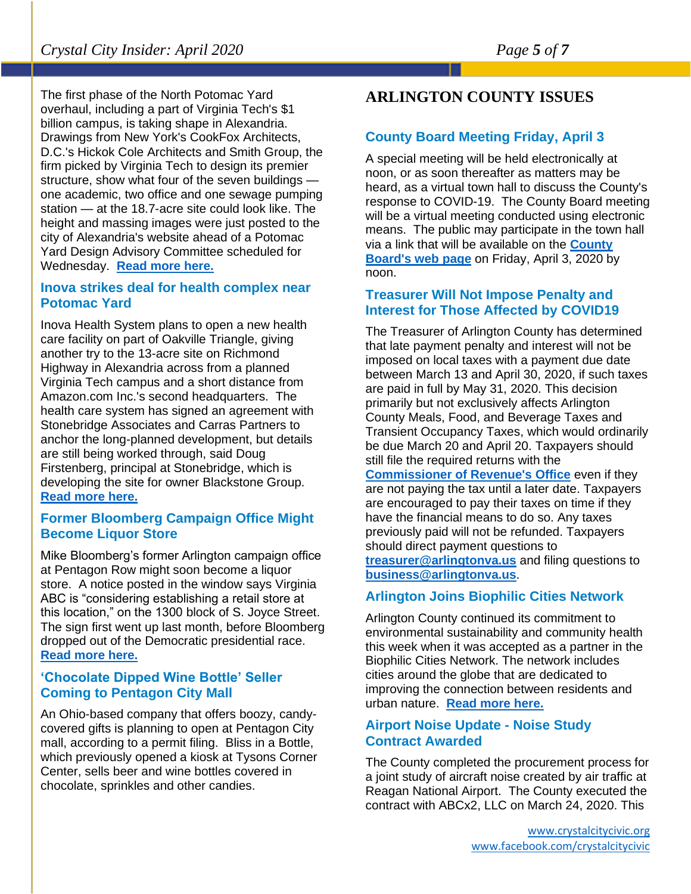The first phase of the North Potomac Yard overhaul, including a part of Virginia Tech's \$1 billion campus, is taking shape in Alexandria. Drawings from New York's CookFox Architects, D.C.'s Hickok Cole Architects and Smith Group, the firm picked by Virginia Tech to design its premier structure, show what four of the seven buildings one academic, two office and one sewage pumping station — at the 18.7-acre site could look like. The height and massing images were just posted to the city of Alexandria's website ahead of a Potomac Yard Design Advisory Committee scheduled for Wednesday. **[Read more here.](https://www.bizjournals.com/washington/news/2020/03/02/the-potomac-yard-skyline-is-taking-shape-here-are.html?ana=e_ae_set1&j=90493631&t=Afternoon&mkt_tok=eyJpIjoiTkRkak9UZG1OMlZtWXprNCIsInQiOiJ3aFZDN0xDbEVTK0xkS0Y4SFkxU2NWQTNjTVVnaDNtaWREeEFGREFGMTBQZ08zczdBVjhEOUdtTjhaVlU4aVRxdnJDeGpZemFLTnhHbjQ5Z2NMV1lFWmN6U3o0c1ZvYkhOMGN1b2NIXC9RaDU4THR0akVJSUZkSnNuSDMxaWNSWFAifQ%3D%3D)**

## **Inova strikes deal for health complex near Potomac Yard**

Inova Health System plans to open a new health care facility on part of Oakville Triangle, giving another try to the 13-acre site on Richmond Highway in Alexandria across from a planned Virginia Tech campus and a short distance from Amazon.com Inc.'s second headquarters. The health care system has signed an agreement with Stonebridge Associates and Carras Partners to anchor the long-planned development, but details are still being worked through, said Doug Firstenberg, principal at Stonebridge, which is developing the site for owner Blackstone Group. **[Read more here.](https://www.bizjournals.com/washington/news/2020/03/04/inova-strikes-deal-for-health-complex-near-potomac.html)**

#### **Former Bloomberg Campaign Office Might Become Liquor Store**

Mike Bloomberg's former Arlington campaign office at Pentagon Row might soon become a liquor store. A notice posted in the window says Virginia ABC is "considering establishing a retail store at this location," on the 1300 block of S. Joyce Street. The sign first went up last month, before Bloomberg dropped out of the Democratic presidential race. **[Read more here.](https://www.arlnow.com/2020/03/23/former-bloomberg-campaign-office-might-become-liquor-store/?mc_cid=0aad02e489&mc_eid=e22d65c5c2)**

# **'Chocolate Dipped Wine Bottle' Seller Coming to Pentagon City Mall**

An Ohio-based company that offers boozy, candycovered gifts is planning to open at Pentagon City mall, according to a permit filing. Bliss in a Bottle, which previously opened a kiosk at Tysons Corner Center, sells beer and wine bottles covered in chocolate, sprinkles and other candies.

# **ARLINGTON COUNTY ISSUES**

# **County Board Meeting Friday, April 3**

A special meeting will be held electronically at noon, or as soon thereafter as matters may be heard, as a virtual town hall to discuss the County's response to COVID-19. The County Board meeting will be a virtual meeting conducted using electronic means. The public may participate in the town hall via a link that will be available on the **[County](https://lnks.gd/l/eyJhbGciOiJIUzI1NiJ9.eyJidWxsZXRpbl9saW5rX2lkIjoxMDUsInVyaSI6ImJwMjpjbGljayIsImJ1bGxldGluX2lkIjoiMjAyMDAzMzEuMTk1NjAyMTEiLCJ1cmwiOiJodHRwczovL2NvdW50eWJvYXJkLmFybGluZ3RvbnZhLnVzLyJ9.zaaoQ68-KOGcqRKzQOLDVJbFV3bds872_w-W2c62qxA/br/76855274371-l)  [Board's web page](https://lnks.gd/l/eyJhbGciOiJIUzI1NiJ9.eyJidWxsZXRpbl9saW5rX2lkIjoxMDUsInVyaSI6ImJwMjpjbGljayIsImJ1bGxldGluX2lkIjoiMjAyMDAzMzEuMTk1NjAyMTEiLCJ1cmwiOiJodHRwczovL2NvdW50eWJvYXJkLmFybGluZ3RvbnZhLnVzLyJ9.zaaoQ68-KOGcqRKzQOLDVJbFV3bds872_w-W2c62qxA/br/76855274371-l)** on Friday, April 3, 2020 by noon.

## **Treasurer Will Not Impose Penalty and Interest for Those Affected by COVID19**

The Treasurer of Arlington County has determined that late payment penalty and interest will not be imposed on local taxes with a payment due date between March 13 and April 30, 2020, if such taxes are paid in full by May 31, 2020. This decision primarily but not exclusively affects Arlington County Meals, Food, and Beverage Taxes and Transient Occupancy Taxes, which would ordinarily be due March 20 and April 20. Taxpayers should still file the required returns with the

**[Commissioner of Revenue's Office](https://arlingtonva.us/cor)** even if they are not paying the tax until a later date. Taxpayers are encouraged to pay their taxes on time if they have the financial means to do so. Any taxes previously paid will not be refunded. Taxpayers should direct payment questions to **[treasurer@arlingtonva.us](file:///C:/Users/cfull/Downloads/treasurer@arlingtonva.us)** and filing questions to **[business@arlingtonva.us](file:///C:/Users/cfull/Downloads/business@arlingtonva.us)**.

# **Arlington Joins Biophilic Cities Network**

Arlington County continued its commitment to environmental sustainability and community health this week when it was accepted as a partner in the Biophilic Cities Network. The network includes cities around the globe that are dedicated to improving the connection between residents and urban nature. **[Read more here.](https://mail.google.com/mail/u/0/#inbox/FMfcgxwHMGMcqgdksWWhMMDQnZflnklg)**

#### **Airport Noise Update - Noise Study Contract Awarded**

The County completed the procurement process for a joint study of aircraft noise created by air traffic at Reagan National Airport. The County executed the contract with ABCx2, LLC on March 24, 2020. This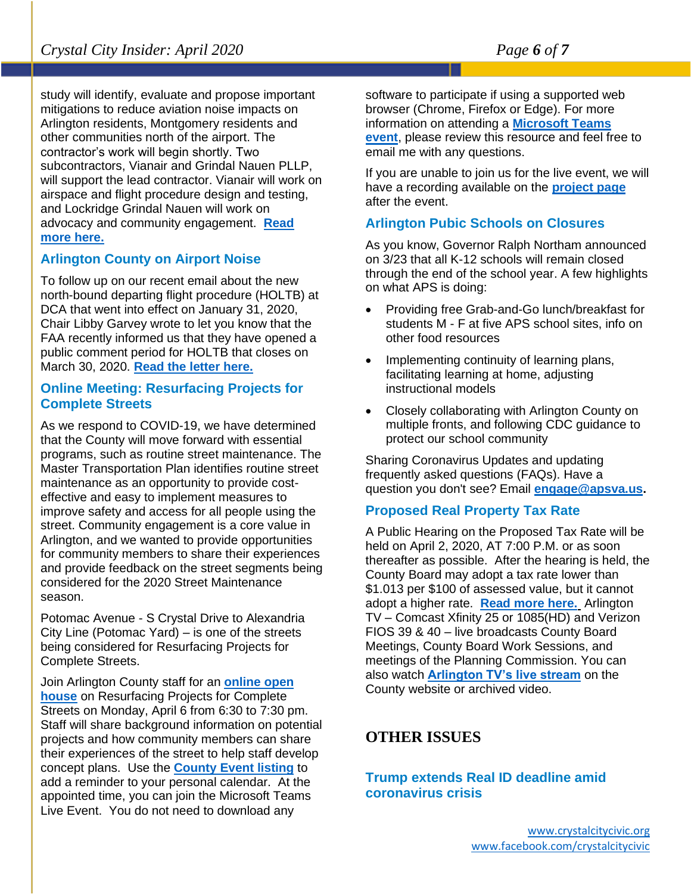study will identify, evaluate and propose important mitigations to reduce aviation noise impacts on Arlington residents, Montgomery residents and other communities north of the airport. The contractor's work will begin shortly. Two subcontractors, Vianair and Grindal Nauen PLLP, will support the lead contractor. Vianair will work on airspace and flight procedure design and testing, and Lockridge Grindal Nauen will work on advocacy and community engagement. **[Read](https://content.govdelivery.com/accounts/VAARLINGTON/bulletins/2836941)  [more here.](https://content.govdelivery.com/accounts/VAARLINGTON/bulletins/2836941)**

# **Arlington County on Airport Noise**

To follow up on our recent email about the new north-bound departing flight procedure (HOLTB) at DCA that went into effect on January 31, 2020, Chair Libby Garvey wrote to let you know that the FAA recently informed us that they have opened a public comment period for HOLTB that closes on March 30, 2020. **[Read the letter here.](https://content.govdelivery.com/accounts/VAARLINGTON/bulletins/27ebf11)**

# **Online Meeting: Resurfacing Projects for Complete Streets**

As we respond to COVID-19, we have determined that the County will move forward with essential programs, such as routine street maintenance. The Master Transportation Plan identifies routine street maintenance as an opportunity to provide costeffective and easy to implement measures to improve safety and access for all people using the street. Community engagement is a core value in Arlington, and we wanted to provide opportunities for community members to share their experiences and provide feedback on the street segments being considered for the 2020 Street Maintenance season.

Potomac Avenue - S Crystal Drive to Alexandria City Line (Potomac Yard) – is one of the streets being considered for Resurfacing Projects for Complete Streets.

Join Arlington County staff for an **[online open](https://projects.arlingtonva.us/events/online-meeting-resurfacing-projects-for-complete-streets/)  [house](https://projects.arlingtonva.us/events/online-meeting-resurfacing-projects-for-complete-streets/)** on Resurfacing Projects for Complete Streets on Monday, April 6 from 6:30 to 7:30 pm. Staff will share background information on potential projects and how community members can share their experiences of the street to help staff develop concept plans. Use the **[County Event listing](https://projects.arlingtonva.us/projects/resurfacing-projects-for-complete-streets-2020-season/)** to add a reminder to your personal calendar. At the appointed time, you can join the Microsoft Teams Live Event. You do not need to download any

software to participate if using a supported web browser (Chrome, Firefox or Edge). For more information on attending a **[Microsoft Teams](file:///C:/Users/cfull/Downloads/Microsoft%20Teams%20Live%20Event)  [event](file:///C:/Users/cfull/Downloads/Microsoft%20Teams%20Live%20Event)**, please review this resource and feel free to email me with any questions.

If you are unable to join us for the live event, we will have a recording available on the **[project page](https://projects.arlingtonva.us/projects/resurfacing-projects-for-complete-streets-2020-season/)** after the event.

# **Arlington Pubic Schools on Closures**

As you know, Governor Ralph Northam announced on 3/23 that all K-12 schools will remain closed through the end of the school year. A few highlights on what APS is doing:

- Providing free Grab-and-Go lunch/breakfast for students M - F at five APS school sites, info on other food resources
- Implementing continuity of learning plans, facilitating learning at home, adjusting instructional models
- Closely collaborating with Arlington County on multiple fronts, and following CDC guidance to protect our school community

Sharing Coronavirus Updates and updating frequently asked questions (FAQs). Have a question you don't see? Email **[engage@apsva.us.](mailto:engage@apsva.us)**

# **Proposed Real Property Tax Rate**

A Public Hearing on the Proposed Tax Rate will be held on April 2, 2020, AT 7:00 P.M. or as soon thereafter as possible. After the hearing is held, the County Board may adopt a tax rate lower than \$1.013 per \$100 of assessed value, but it cannot adopt a higher rate. **[Read more here.](https://content.govdelivery.com/accounts/VAARLINGTON/bulletins/27edd2b)** Arlington TV – Comcast Xfinity 25 or 1085(HD) and Verizon FIOS 39 & 40 – live broadcasts County Board Meetings, County Board Work Sessions, and meetings of the Planning Commission. You can also watch **[Arlington TV's live stream](http://links.govdelivery.com/track?type=click&enid=ZWFzPTEmbWFpbGluZ2lkPTIwMTYwNDEzLjU3NzMzNTUxJm1lc3NhZ2VpZD1NREItUFJELUJVTC0yMDE2MDQxMy41NzczMzU1MSZkYXRhYmFzZWlkPTEwMDEmc2VyaWFsPTE3MDI1MzMzJmVtYWlsaWQ9aGhhbGxlQGFybGluZ3RvbnZhLnVzJnVzZXJpZD1oaGFsbGVAYXJsaW5ndG9udmEudXMmZmw9JmV4dHJhPU11bHRpdmFyaWF0ZUlkPSYmJg==&&&105&&&http://tv.arlingtonva.us/watch/)** on the County website or archived video.

# **OTHER ISSUES**

**Trump extends Real ID deadline amid coronavirus crisis**